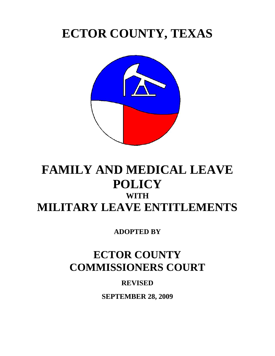# **ECTOR COUNTY, TEXAS**



## **FAMILY AND MEDICAL LEAVE POLICY WITH MILITARY LEAVE ENTITLEMENTS**

**ADOPTED BY** 

### **ECTOR COUNTY COMMISSIONERS COURT**

**REVISED** 

**SEPTEMBER 28, 2009**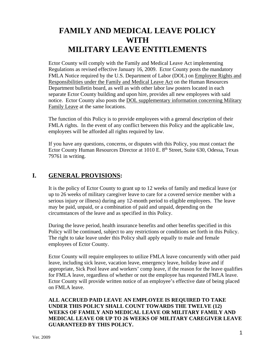### **FAMILY AND MEDICAL LEAVE POLICY WITH MILITARY LEAVE ENTITLEMENTS**

Ector County will comply with the Family and Medical Leave Act implementing Regulations as revised effective January 16, 2009. Ector County posts the mandatory FMLA Notice required by the U.S. Department of Labor (DOL) on Employee Rights and Responsibilities under the Family and Medical Leave Act on the Human Resources Department bulletin board, as well as with other labor law posters located in each separate Ector County building and upon hire, provides all new employees with said notice. Ector County also posts the DOL supplementary information concerning Military Family Leave at the same locations.

The function of this Policy is to provide employees with a general description of their FMLA rights. In the event of any conflict between this Policy and the applicable law, employees will be afforded all rights required by law.

If you have any questions, concerns, or disputes with this Policy, you must contact the Ector County Human Resources Director at 1010 E. 8<sup>th</sup> Street, Suite 630, Odessa, Texas 79761 in writing.

#### **I. GENERAL PROVISIONS:**

It is the policy of Ector County to grant up to 12 weeks of family and medical leave (or up to 26 weeks of military caregiver leave to care for a covered service member with a serious injury or illness) during any 12-month period to eligible employees. The leave may be paid, unpaid, or a combination of paid and unpaid, depending on the circumstances of the leave and as specified in this Policy.

During the leave period, health insurance benefits and other benefits specified in this Policy will be continued, subject to any restrictions or conditions set forth in this Policy. The right to take leave under this Policy shall apply equally to male and female employees of Ector County.

Ector County will require employees to utilize FMLA leave concurrently with other paid leave, including sick leave, vacation leave, emergency leave, holiday leave and if appropriate, Sick Pool leave and workers' comp leave, if the reason for the leave qualifies for FMLA leave, regardless of whether or not the employee has requested FMLA leave. Ector County will provide written notice of an employee's effective date of being placed on FMLA leave.

#### **ALL ACCRUED PAID LEAVE AN EMPLOYEE IS REQUIRED TO TAKE UNDER THIS POLICY SHALL COUNT TOWARDS THE TWELVE (12) WEEKS OF FAMILY AND MEDICAL LEAVE OR MILITARY FAMILY AND MEDICAL LEAVE OR UP TO 26 WEEKS OF MILITARY CAREGIVER LEAVE GUARANTEED BY THIS POLICY.**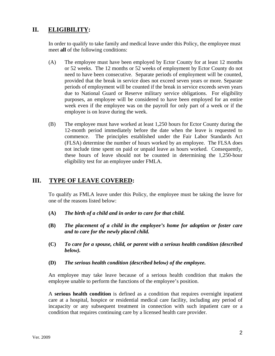#### **II. ELIGIBILITY:**

In order to qualify to take family and medical leave under this Policy, the employee must meet **all** of the following conditions:

- (A) The employee must have been employed by Ector County for at least 12 months or 52 weeks. The 12 months or 52 weeks of employment by Ector County do not need to have been consecutive. Separate periods of employment will be counted, provided that the break in service does not exceed seven years or more. Separate periods of employment will be counted if the break in service exceeds seven years due to National Guard or Reserve military service obligations. For eligibility purposes, an employee will be considered to have been employed for an entire week even if the employee was on the payroll for only part of a week or if the employee is on leave during the week.
- (B) The employee must have worked at least 1,250 hours for Ector County during the 12-month period immediately before the date when the leave is requested to commence. The principles established under the Fair Labor Standards Act (FLSA) determine the number of hours worked by an employee. The FLSA does not include time spent on paid or unpaid leave as hours worked. Consequently, these hours of leave should not be counted in determining the 1,250-hour eligibility test for an employee under FMLA.

#### **III. TYPE OF LEAVE COVERED:**

To qualify as FMLA leave under this Policy, the employee must be taking the leave for one of the reasons listed below:

- **(A)** *The birth of a child and in order to care for that child.*
- **(B)** *The placement of a child in the employee's home for adoption or foster care and to care for the newly placed child.*
- **(C)** *To care for a spouse, child, or parent with a serious health condition (described below).*
- **(D)** *The serious health condition (described below) of the employee.*

An employee may take leave because of a serious health condition that makes the employee unable to perform the functions of the employee's position.

A **serious health condition** is defined as a condition that requires overnight inpatient care at a hospital, hospice or residential medical care facility, including any period of incapacity or any subsequent treatment in connection with such inpatient care or a condition that requires continuing care by a licensed health care provider.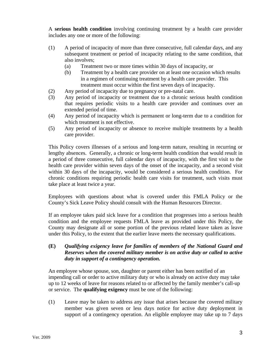A **serious health condition** involving continuing treatment by a health care provider includes any one or more of the following:

- (1) A period of incapacity of more than three consecutive, full calendar days, and any subsequent treatment or period of incapacity relating to the same condition, that also involves;
	- (a) Treatment two or more times within 30 days of incapacity, or
	- (b) Treatment by a health care provider on at least one occasion which results in a regimen of continuing treatment by a health care provider. This treatment must occur within the first seven days of incapacity.
- (2) Any period of incapacity due to pregnancy or pre-natal care.
- (3) Any period of incapacity or treatment due to a chronic serious health condition that requires periodic visits to a health care provider and continues over an extended period of time.
- (4) Any period of incapacity which is permanent or long-term due to a condition for which treatment is not effective.
- (5) Any period of incapacity or absence to receive multiple treatments by a health care provider.

This Policy covers illnesses of a serious and long-term nature, resulting in recurring or lengthy absences. Generally, a chronic or long-term health condition that would result in a period of three consecutive, full calendar days of incapacity, with the first visit to the health care provider within seven days of the onset of the incapacity, and a second visit within 30 days of the incapacity, would be considered a serious health condition. For chronic conditions requiring periodic health care visits for treatment, such visits must take place at least twice a year.

Employees with questions about what is covered under this FMLA Policy or the County's Sick Leave Policy should consult with the Human Resources Director.

If an employee takes paid sick leave for a condition that progresses into a serious health condition and the employee requests FMLA leave as provided under this Policy, the County may designate all or some portion of the previous related leave taken as leave under this Policy, to the extent that the earlier leave meets the necessary qualifications.

#### **(E)** *Qualifying exigency leave for families of members of the National Guard and Reserves when the covered military member is on active duty or called to active duty in support of a contingency operation.*

An employee whose spouse, son, daughter or parent either has been notified of an impending call or order to active military duty or who is already on active duty may take up to 12 weeks of leave for reasons related to or affected by the family member's call-up or service. The **qualifying exigency** must be one of the following:

(1) Leave may be taken to address any issue that arises because the covered military member was given seven or less days notice for active duty deployment in support of a contingency operation. An eligible employee may take up to 7 days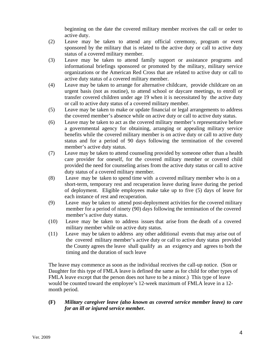beginning on the date the covered military member receives the call or order to active duty.

- (2) Leave may be taken to attend any official ceremony, program or event sponsored by the military that is related to the active duty or call to active duty status of a covered military member.
- (3) Leave may be taken to attend family support or assistance programs and informational briefings sponsored or promoted by the military, military service organizations or the American Red Cross that are related to active duty or call to active duty status of a covered military member.
- (4) Leave may be taken to arrange for alternative childcare, provide childcare on an urgent basis (not as routine), to attend school or daycare meetings, to enroll or transfer covered children under age 19 when it is necessitated by the active duty or call to active duty status of a covered military member.
- (5) Leave may be taken to make or update financial or legal arrangements to address the covered member's absence while on active duty or call to active duty status.
- (6) Leave may be taken to act as the covered military member's representative before a governmental agency for obtaining, arranging or appealing military service benefits while the covered military member is on active duty or call to active duty status and for a period of 90 days following the termination of the covered member's active duty status.
- (7) Leave may be taken to attend counseling provided by someone other than a health care provider for oneself, for the covered military member or covered child provided the need for counseling arises from the active duty status or call to active duty status of a covered military member.
- (8) Leave may be taken to spend time with a covered military member who is on a short-term, temporary rest and recuperation leave during leave during the period of deployment. Eligible employees make take up to five (5) days of leave for each instance of rest and recuperation.
- (9) Leave may be taken to attend post-deployment activities for the covered military member for a period of ninety (90) days following the termination of the covered member's active duty status.
- (10) Leave may be taken to address issues that arise from the death of a covered military member while on active duty status.
- (11) Leave may be taken to address any other additional events that may arise out of the covered military member's active duty or call to active duty status provided the County agrees the leave shall qualify as an exigency and agrees to both the timing and the duration of such leave

The leave may commence as soon as the individual receives the call-up notice. (Son or Daughter for this type of FMLA leave is defined the same as for child for other types of FMLA leave except that the person does not have to be a minor.) This type of leave would be counted toward the employee's 12-week maximum of FMLA leave in a 12 month period.

#### **(F)** *Military caregiver leave (also known as covered service member leave) to care for an ill or injured service member.*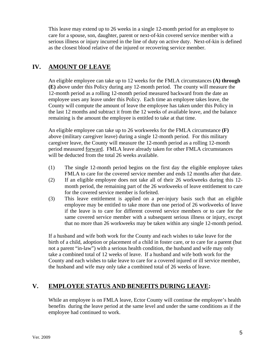This leave may extend up to 26 weeks in a single 12-month period for an employee to care for a spouse, son, daughter, parent or next-of-kin covered service member with a serious illness or injury incurred in the line of duty on active duty. Next-of-kin is defined as the closest blood relative of the injured or recovering service member.

#### **IV. AMOUNT OF LEAVE**

An eligible employee can take up to 12 weeks for the FMLA circumstances **(A) through (E)** above under this Policy during any 12-month period. The county will measure the 12-month period as a rolling 12-month period measured backward from the date an employee uses any leave under this Policy. Each time an employee takes leave, the County will compute the amount of leave the employee has taken under this Policy in the last 12 months and subtract it from the 12 weeks of available leave, and the balance remaining is the amount the employee is entitled to take at that time.

An eligible employee can take up to 26 workweeks for the FMLA circumstance **(F)** above (military caregiver leave) during a single 12-month period. For this military caregiver leave, the County will measure the 12-month period as a rolling 12-month period measured forward. FMLA leave already taken for other FMLA circumstances will be deducted from the total 26 weeks available.

- (1) The single 12-month period begins on the first day the eligible employee takes FMLA to care for the covered service member and ends 12 months after that date.
- (2) If an eligible employee does not take all of their 26 workweeks during this 12 month period, the remaining part of the 26 workweeks of leave entitlement to care for the covered service member is forfeited.
- (3) This leave entitlement is applied on a per-injury basis such that an eligible employee may be entitled to take more than one period of 26 workweeks of leave if the leave is to care for different covered service members or to care for the same covered service member with a subsequent serious illness or injury, except that no more than 26 workweeks may be taken within any single 12-month period.

If a husband and wife both work for the County and each wishes to take leave for the birth of a child, adoption or placement of a child in foster care, or to care for a parent (but not a parent "in-law") with a serious health condition, the husband and wife may only take a combined total of 12 weeks of leave. If a husband and wife both work for the County and each wishes to take leave to care for a covered injured or ill service member, the husband and wife may only take a combined total of 26 weeks of leave.

#### **V. EMPLOYEE STATUS AND BENEFITS DURING LEAVE:**

While an employee is on FMLA leave, Ector County will continue the employee's health benefits during the leave period at the same level and under the same conditions as if the employee had continued to work.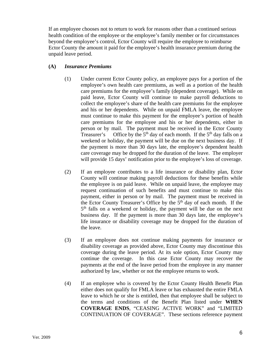If an employee chooses not to return to work for reasons other than a continued serious health condition of the employee or the employee's family member or for circumstances beyond the employee's control, Ector County will require the employee to reimburse Ector County the amount it paid for the employee's health insurance premium during the unpaid leave period.

#### **(A)** *Insurance Premiums*

- (1) Under current Ector County policy, an employee pays for a portion of the employee's own health care premiums, as well as a portion of the health care premiums for the employee's family (dependent coverage). While on paid leave, Ector County will continue to make payroll deductions to collect the employee's share of the health care premiums for the employee and his or her dependents. While on unpaid FMLA leave, the employee must continue to make this payment for the employee's portion of health care premiums for the employee and his or her dependents, either in person or by mail. The payment must be received in the Ector County Treasurer's Office by the  $5<sup>th</sup>$  day of each month. If the  $5<sup>th</sup>$  day falls on a weekend or holiday, the payment will be due on the next business day. If the payment is more than 30 days late, the employee's dependent health care coverage may be dropped for the duration of the leave. The employer will provide 15 days' notification prior to the employee's loss of coverage.
- (2) If an employee contributes to a life insurance or disability plan, Ector County will continue making payroll deductions for these benefits while the employee is on paid leave. While on unpaid leave, the employee may request continuation of such benefits and must continue to make this payment, either in person or by mail. The payment must be received in the Ector County Treasurer's Office by the  $5<sup>th</sup>$  day of each month. If the 5<sup>th</sup> falls on a weekend or holiday, the payment will be due on the next business day. If the payment is more than 30 days late, the employee's life insurance or disability coverage may be dropped for the duration of the leave.
- (3) If an employee does not continue making payments for insurance or disability coverage as provided above, Ector County may discontinue this coverage during the leave period. At its sole option, Ector County may continue the coverage. In this case Ector County may recover the payments at the end of the leave period from the employee in any manner authorized by law, whether or not the employee returns to work.
- (4) If an employee who is covered by the Ector County Health Benefit Plan either does not qualify for FMLA leave or has exhausted the entire FMLA leave to which he or she is entitled, then that employee shall be subject to the terms and conditions of the Benefit Plan listed under **WHEN COVERAGE ENDS**, "CEASING ACTIVE WORK" and "LIMITED CONTINUATION OF COVERAGE". These sections reference payment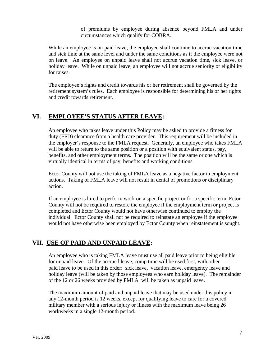of premiums by employee during absence beyond FMLA and under circumstances which qualify for COBRA.

While an employee is on paid leave, the employee shall continue to accrue vacation time and sick time at the same level and under the same conditions as if the employee were not on leave. An employee on unpaid leave shall not accrue vacation time, sick leave, or holiday leave. While on unpaid leave, an employee will not accrue seniority or eligibility for raises.

The employee's rights and credit towards his or her retirement shall be governed by the retirement system's rules. Each employee is responsible for determining his or her rights and credit towards retirement.

#### **VI. EMPLOYEE'S STATUS AFTER LEAVE:**

An employee who takes leave under this Policy may be asked to provide a fitness for duty (FFD) clearance from a health care provider. This requirement will be included in the employer's response to the FMLA request. Generally, an employee who takes FMLA will be able to return to the same position or a position with equivalent status, pay, benefits, and other employment terms. The position will be the same or one which is virtually identical in terms of pay, benefits and working conditions.

Ector County will not use the taking of FMLA leave as a negative factor in employment actions. Taking of FMLA leave will not result in denial of promotions or disciplinary action.

If an employee is hired to perform work on a specific project or for a specific term, Ector County will not be required to restore the employee if the employment term or project is completed and Ector County would not have otherwise continued to employ the individual. Ector County shall not be required to reinstate an employee if the employee would not have otherwise been employed by Ector County when reinstatement is sought.

#### **VII. USE OF PAID AND UNPAID LEAVE:**

An employee who is taking FMLA leave must use all paid leave prior to being eligible for unpaid leave. Of the accrued leave, comp time will be used first, with other paid leave to be used in this order: sick leave, vacation leave, emergency leave and holiday leave (will be taken by those employees who earn holiday leave). The remainder of the 12 or 26 weeks provided by FMLA will be taken as unpaid leave.

The maximum amount of paid and unpaid leave that may be used under this policy in any 12-month period is 12 weeks, except for qualifying leave to care for a covered military member with a serious injury or illness with the maximum leave being 26 workweeks in a single 12-month period.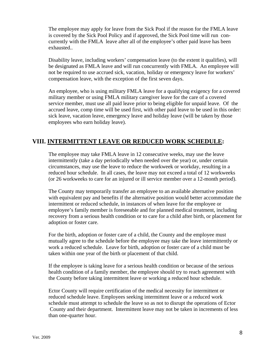The employee may apply for leave from the Sick Pool if the reason for the FMLA leave is covered by the Sick Pool Policy and if approved, the Sick Pool time will run concurrently with the FMLA leave after all of the employee's other paid leave has been exhausted..

Disability leave, including workers' compensation leave (to the extent it qualifies), will be designated as FMLA leave and will run concurrently with FMLA. An employee will not be required to use accrued sick, vacation, holiday or emergency leave for workers' compensation leave, with the exception of the first seven days.

An employee, who is using military FMLA leave for a qualifying exigency for a covered military member or using FMLA military caregiver leave for the care of a covered service member, must use all paid leave prior to being eligible for unpaid leave. Of the accrued leave, comp time will be used first, with other paid leave to be used in this order: sick leave, vacation leave, emergency leave and holiday leave (will be taken by those employees who earn holiday leave).

#### **VIII. INTERMITTENT LEAVE OR REDUCED WORK SCHEDULE:**

The employee may take FMLA leave in 12 consecutive weeks, may use the leave intermittently (take a day periodically when needed over the year) or, under certain circumstances, may use the leave to reduce the workweek or workday, resulting in a reduced hour schedule. In all cases, the leave may not exceed a total of 12 workweeks (or 26 workweeks to care for an injured or ill service member over a 12-month period).

The County may temporarily transfer an employee to an available alternative position with equivalent pay and benefits if the alternative position would better accommodate the intermittent or reduced schedule, in instances of when leave for the employee or employee's family member is foreseeable and for planned medical treatment, including recovery from a serious health condition or to care for a child after birth, or placement for adoption or foster care.

For the birth, adoption or foster care of a child, the County and the employee must mutually agree to the schedule before the employee may take the leave intermittently or work a reduced schedule. Leave for birth, adoption or foster care of a child must be taken within one year of the birth or placement of that child.

If the employee is taking leave for a serious health condition or because of the serious health condition of a family member, the employee should try to reach agreement with the County before taking intermittent leave or working a reduced hour schedule.

Ector County will require certification of the medical necessity for intermittent or reduced schedule leave. Employees seeking intermittent leave or a reduced work schedule must attempt to schedule the leave so as not to disrupt the operations of Ector County and their department. Intermittent leave may not be taken in increments of less than one-quarter hour.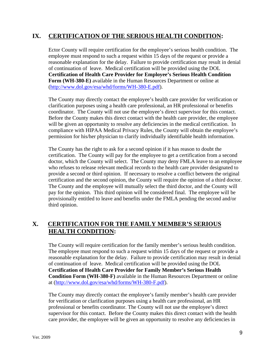#### **IX. CERTIFICATION OF THE SERIOUS HEALTH CONDITION:**

Ector County will require certification for the employee's serious health condition. The employee must respond to such a request within 15 days of the request or provide a reasonable explanation for the delay. Failure to provide certification may result in denial of continuation of leave. Medical certification will be provided using the DOL **Certification of Health Care Provider for Employee's Serious Health Condition Form (WH-380-E)** available in the Human Resources Department or online at (http://www.dol.gov/esa/whd/forms/WH-380-E.pdf).

The County may directly contact the employee's health care provider for verification or clarification purposes using a health care professional, an HR professional or benefits coordinator. The County will not use the employee's direct supervisor for this contact. Before the County makes this direct contact with the health care provider, the employee will be given an opportunity to resolve any deficiencies in the medical certification. In compliance with HIPAA Medical Privacy Rules, the County will obtain the employee's permission for his/her physician to clarify individually identifiable health information.

The County has the right to ask for a second opinion if it has reason to doubt the certification. The County will pay for the employee to get a certification from a second doctor, which the County will select. The County may deny FMLA leave to an employee who refuses to release relevant medical records to the health care provider designated to provide a second or third opinion. If necessary to resolve a conflict between the original certification and the second opinion, the County will require the opinion of a third doctor. The County and the employee will mutually select the third doctor, and the County will pay for the opinion. This third opinion will be considered final. The employee will be provisionally entitled to leave and benefits under the FMLA pending the second and/or third opinion.

#### **X. CERTIFICATION FOR THE FAMILY MEMBER'S SERIOUS HEALTH CONDITION:**

The County will require certification for the family member's serious health condition. The employee must respond to such a request within 15 days of the request or provide a reasonable explanation for the delay. Failure to provide certification may result in denial of continuation of leave. Medical certification will be provided using the DOL **Certification of Health Care Provider for Family Member's Serious Health Condition Form (WH-380-F)** available in the Human Resources Department or online at (http://www.dol.gov/esa/whd/forms/WH-380-F.pdf).

The County may directly contact the employee's family member's health care provider for verification or clarification purposes using a health care professional, an HR professional or benefits coordinator. The County will not use the employee's direct supervisor for this contact. Before the County makes this direct contact with the health care provider, the employee will be given an opportunity to resolve any deficiencies in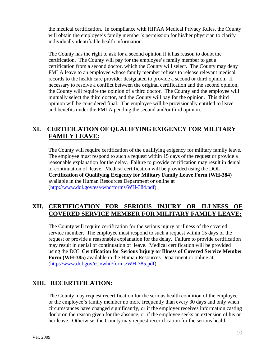the medical certification. In compliance with HIPAA Medical Privacy Rules, the County will obtain the employee's family member's permission for his/her physician to clarify individually identifiable health information.

The County has the right to ask for a second opinion if it has reason to doubt the certification. The County will pay for the employee's family member to get a certification from a second doctor, which the County will select. The County may deny FMLA leave to an employee whose family member refuses to release relevant medical records to the health care provider designated to provide a second or third opinion. If necessary to resolve a conflict between the original certification and the second opinion, the County will require the opinion of a third doctor. The County and the employee will mutually select the third doctor, and the County will pay for the opinion. This third opinion will be considered final. The employee will be provisionally entitled to leave and benefits under the FMLA pending the second and/or third opinion.

#### **XI. CERTIFICATION OF QUALIFYING EXIGENCY FOR MILITARY FAMILY LEAVE:**

The County will require certification of the qualifying exigency for military family leave. The employee must respond to such a request within 15 days of the request or provide a reasonable explanation for the delay. Failure to provide certification may result in denial of continuation of leave. Medical certification will be provided using the DOL **Certification of Qualifying Exigency for Military Family Leave Form (WH-384)**  available in the Human Resources Department or online at (http://www.dol.gov/esa/whd/forms/WH-384.pdf).

#### **XII. CERTIFICATION FOR SERIOUS INJURY OR ILLNESS OF COVERED SERVICE MEMBER FOR MILITARY FAMILY LEAVE:**

The County will require certification for the serious injury or illness of the covered service member. The employee must respond to such a request within 15 days of the request or provide a reasonable explanation for the delay. Failure to provide certification may result in denial of continuation of leave. Medical certification will be provided using the DOL **Certification for Serious Injury or Illness of Covered Service Member Form (WH-385)** available in the Human Resources Department or online at (http://www.dol.gov/esa/whd/forms/WH-385.pdf).

#### **XIII. RECERTIFICATION:**

The County may request recertification for the serious health condition of the employee or the employee's family member no more frequently than every 30 days and only when circumstances have changed significantly, or if the employer receives information casting doubt on the reason given for the absence, or if the employee seeks an extension of his or her leave. Otherwise, the County may request recertification for the serious health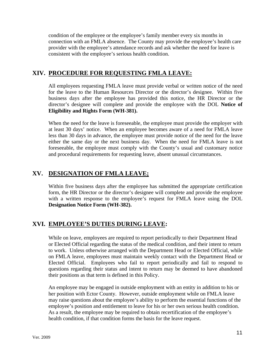condition of the employee or the employee's family member every six months in connection with an FMLA absence. The County may provide the employee's health care provider with the employee's attendance records and ask whether the need for leave is consistent with the employee's serious health condition.

#### **XIV. PROCEDURE FOR REQUESTING FMLA LEAVE:**

All employees requesting FMLA leave must provide verbal or written notice of the need for the leave to the Human Resources Director or the director's designee. Within five business days after the employee has provided this notice, the HR Director or the director's designee will complete and provide the employee with the DOL **Notice of Eligibility and Rights Form (WH-381).** 

When the need for the leave is foreseeable, the employee must provide the employer with at least 30 days' notice. When an employee becomes aware of a need for FMLA leave less than 30 days in advance, the employee must provide notice of the need for the leave either the same day or the next business day. When the need for FMLA leave is not foreseeable, the employee must comply with the County's usual and customary notice and procedural requirements for requesting leave, absent unusual circumstances.

#### **XV. DESIGNATION OF FMLA LEAVE;**

Within five business days after the employee has submitted the appropriate certification form, the HR Director or the director's designee will complete and provide the employee with a written response to the employee's request for FMLA leave using the DOL **Designation Notice Form (WH-382).** 

#### **XVI. EMPLOYEE'S DUTIES DURING LEAVE:**

While on leave, employees are required to report periodically to their Department Head or Elected Official regarding the status of the medical condition, and their intent to return to work. Unless otherwise arranged with the Department Head or Elected Official, while on FMLA leave, employees must maintain weekly contact with the Department Head or Elected Official. Employees who fail to report periodically and fail to respond to questions regarding their status and intent to return may be deemed to have abandoned their positions as that term is defined in this Policy.

An employee may be engaged in outside employment with an entity in addition to his or her position with Ector County. However, outside employment while on FMLA leave may raise questions about the employee's ability to perform the essential functions of the employee's position and entitlement to leave for his or her own serious health condition. As a result, the employee may be required to obtain recertification of the employee's health condition, if that condition forms the basis for the leave request.